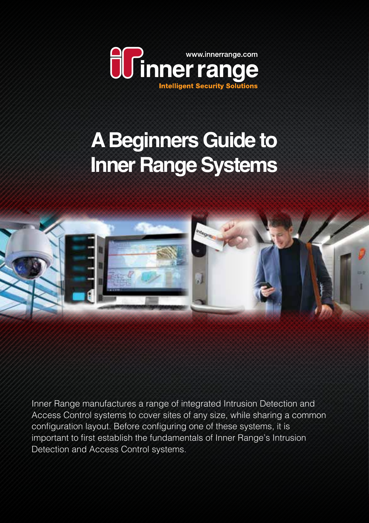

# **A Beginners Guide to Inner Range Systems**



Inner Range manufactures a range of integrated Intrusion Detection and Access Control systems to cover sites of any size, while sharing a common configuration layout. Before configuring one of these systems, it is important to first establish the fundamentals of Inner Range's Intrusion Detection and Access Control systems.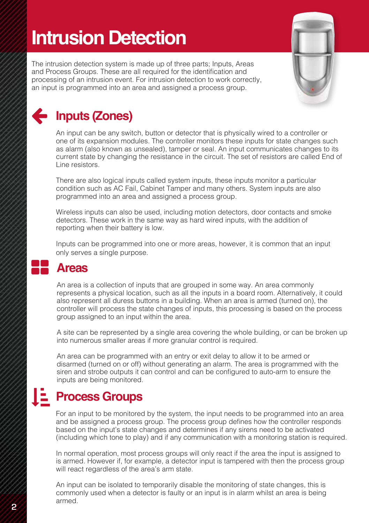# **Intrusion Detection**

The intrusion detection system is made up of three parts; Inputs, Areas and Process Groups. These are all required for the identification and processing of an intrusion event. For intrusion detection to work correctly, an input is programmed into an area and assigned a process group.



### **Inputs (Zones)**

An input can be any switch, button or detector that is physically wired to a controller or one of its expansion modules. The controller monitors these inputs for state changes such as alarm (also known as unsealed), tamper or seal. An input communicates changes to its current state by changing the resistance in the circuit. The set of resistors are called End of Line resistors.

There are also logical inputs called system inputs, these inputs monitor a particular condition such as AC Fail, Cabinet Tamper and many others. System inputs are also programmed into an area and assigned a process group.

Wireless inputs can also be used, including motion detectors, door contacts and smoke detectors. These work in the same way as hard wired inputs, with the addition of reporting when their battery is low.

Inputs can be programmed into one or more areas, however, it is common that an input only serves a single purpose.

#### **Areas**

82<br>82

An area is a collection of inputs that are grouped in some way. An area commonly represents a physical location, such as all the inputs in a board room. Alternatively, it could also represent all duress buttons in a building. When an area is armed (turned on), the controller will process the state changes of inputs, this processing is based on the process group assigned to an input within the area.

A site can be represented by a single area covering the whole building, or can be broken up into numerous smaller areas if more granular control is required.

An area can be programmed with an entry or exit delay to allow it to be armed or disarmed (turned on or off) without generating an alarm. The area is programmed with the siren and strobe outputs it can control and can be configured to auto-arm to ensure the inputs are being monitored.

## **Process Groups**

For an input to be monitored by the system, the input needs to be programmed into an area and be assigned a process group. The process group defines how the controller responds based on the input's state changes and determines if any sirens need to be activated (including which tone to play) and if any communication with a monitoring station is required.

In normal operation, most process groups will only react if the area the input is assigned to is armed. However if, for example, a detector input is tampered with then the process group will react regardless of the area's arm state.

**2 3** An input can be isolated to temporarily disable the monitoring of state changes, this is commonly used when a detector is faulty or an input is in alarm whilst an area is being armed.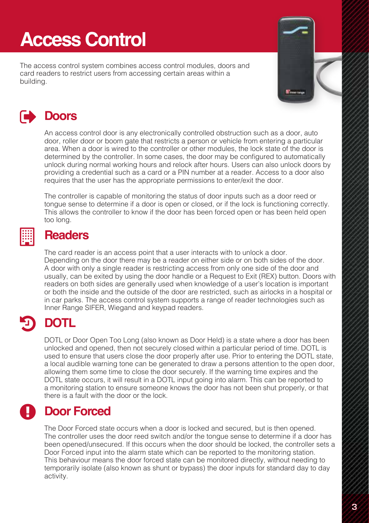# **Access Control**

The access control system combines access control modules, doors and card readers to restrict users from accessing certain areas within a building.



### **Doors**

An access control door is any electronically controlled obstruction such as a door, auto door, roller door or boom gate that restricts a person or vehicle from entering a particular area. When a door is wired to the controller or other modules, the lock state of the door is determined by the controller. In some cases, the door may be configured to automatically unlock during normal working hours and relock after hours. Users can also unlock doors by providing a credential such as a card or a PIN number at a reader. Access to a door also requires that the user has the appropriate permissions to enter/exit the door.

The controller is capable of monitoring the status of door inputs such as a door reed or tongue sense to determine if a door is open or closed, or if the lock is functioning correctly. This allows the controller to know if the door has been forced open or has been held open too long.

#### 臘

#### **Readers**

The card reader is an access point that a user interacts with to unlock a door. Depending on the door there may be a reader on either side or on both sides of the door. A door with only a single reader is restricting access from only one side of the door and usually, can be exited by using the door handle or a Request to Exit (REX) button. Doors with readers on both sides are generally used when knowledge of a user's location is important or both the inside and the outside of the door are restricted, such as airlocks in a hospital or in car parks. The access control system supports a range of reader technologies such as Inner Range SIFER, Wiegand and keypad readers.

#### **DOTL**  $\boldsymbol{\Theta}$

DOTL or Door Open Too Long (also known as Door Held) is a state where a door has been unlocked and opened, then not securely closed within a particular period of time. DOTL is used to ensure that users close the door properly after use. Prior to entering the DOTL state, a local audible warning tone can be generated to draw a persons attention to the open door, allowing them some time to close the door securely. If the warning time expires and the DOTL state occurs, it will result in a DOTL input going into alarm. This can be reported to a monitoring station to ensure someone knows the door has not been shut properly, or that there is a fault with the door or the lock.

#### **Door Forced**  $\mathbf{\Theta}$

The Door Forced state occurs when a door is locked and secured, but is then opened. The controller uses the door reed switch and/or the tongue sense to determine if a door has been opened/unsecured. If this occurs when the door should be locked, the controller sets a Door Forced input into the alarm state which can be reported to the monitoring station. This behaviour means the door forced state can be monitored directly, without needing to temporarily isolate (also known as shunt or bypass) the door inputs for standard day to day activity.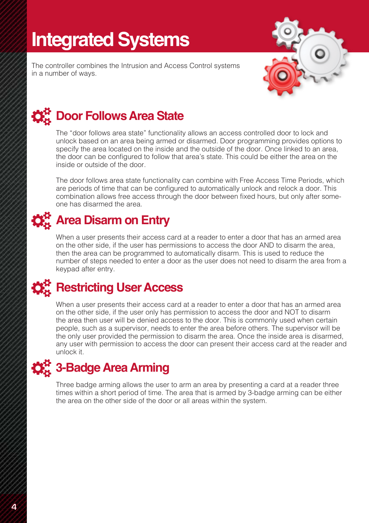# **Integrated Systems**

The controller combines the Intrusion and Access Control systems in a number of ways.



# **☆☆** Door Follows Area State

The "door follows area state" functionality allows an access controlled door to lock and unlock based on an area being armed or disarmed. Door programming provides options to specify the area located on the inside and the outside of the door. Once linked to an area, the door can be configured to follow that area's state. This could be either the area on the inside or outside of the door.

The door follows area state functionality can combine with Free Access Time Periods, which are periods of time that can be configured to automatically unlock and relock a door. This combination allows free access through the door between fixed hours, but only after someone has disarmed the area.

### **☆☆** Area Disarm on Entry

When a user presents their access card at a reader to enter a door that has an armed area on the other side, if the user has permissions to access the door AND to disarm the area, then the area can be programmed to automatically disarm. This is used to reduce the number of steps needed to enter a door as the user does not need to disarm the area from a keypad after entry.

### **☆☆** Restricting User Access

When a user presents their access card at a reader to enter a door that has an armed area on the other side, if the user only has permission to access the door and NOT to disarm the area then user will be denied access to the door. This is commonly used when certain people, such as a supervisor, needs to enter the area before others. The supervisor will be the only user provided the permission to disarm the area. Once the inside area is disarmed, any user with permission to access the door can present their access card at the reader and unlock it.

### **3-Badge Area Arming**

Three badge arming allows the user to arm an area by presenting a card at a reader three times within a short period of time. The area that is armed by 3-badge arming can be either the area on the other side of the door or all areas within the system.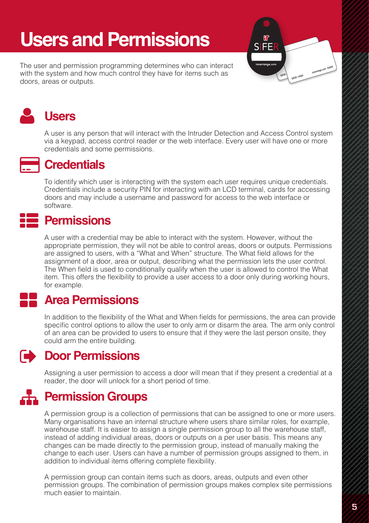# **Users and Permissions**

The user and permission programming determines who can interact with the system and how much control they have for items such as doors, areas or outputs.





#### **Users**

A user is any person that will interact with the Intruder Detection and Access Control system via a keypad, access control reader or the web interface. Every user will have one or more credentials and some permissions.



#### **Credentials**

To identify which user is interacting with the system each user requires unique credentials. Credentials include a security PIN for interacting with an LCD terminal, cards for accessing doors and may include a username and password for access to the web interface or software.

#### **Permissions** <u>:2</u>

A user with a credential may be able to interact with the system. However, without the appropriate permission, they will not be able to control areas, doors or outputs. Permissions are assigned to users, with a "What and When" structure. The What field allows for the assignment of a door, area or output, describing what the permission lets the user control. The When field is used to conditionally qualify when the user is allowed to control the What item. This offers the flexibility to provide a user access to a door only during working hours, for example.

### 88<br>88

#### **Area Permissions**

In addition to the flexibility of the What and When fields for permissions, the area can provide specific control options to allow the user to only arm or disarm the area. The arm only control of an area can be provided to users to ensure that if they were the last person onsite, they could arm the entire building.

### **Door Permissions**

Assigning a user permission to access a door will mean that if they present a credential at a reader, the door will unlock for a short period of time.

#### **Permission Groups ...**

A permission group is a collection of permissions that can be assigned to one or more users. Many organisations have an internal structure where users share similar roles, for example, warehouse staff. It is easier to assign a single permission group to all the warehouse staff, instead of adding individual areas, doors or outputs on a per user basis. This means any changes can be made directly to the permission group, instead of manually making the change to each user. Users can have a number of permission groups assigned to them, in addition to individual items offering complete flexibility.

A permission group can contain items such as doors, areas, outputs and even other permission groups. The combination of permission groups makes complex site permissions much easier to maintain.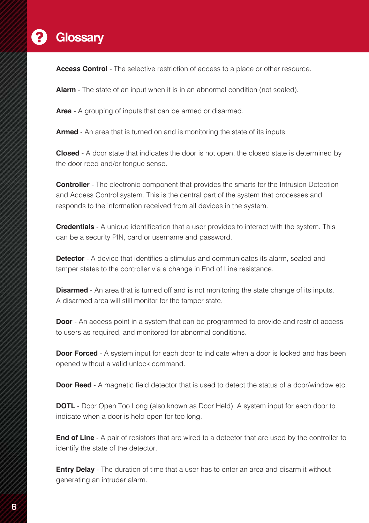#### **Glossary**  $\boldsymbol{\Theta}$

**Access Control** - The selective restriction of access to a place or other resource.

**Alarm** - The state of an input when it is in an abnormal condition (not sealed).

**Area** - A grouping of inputs that can be armed or disarmed.

**Armed** - An area that is turned on and is monitoring the state of its inputs.

**Closed** - A door state that indicates the door is not open, the closed state is determined by the door reed and/or tongue sense.

**Controller** - The electronic component that provides the smarts for the Intrusion Detection and Access Control system. This is the central part of the system that processes and responds to the information received from all devices in the system.

**Credentials** - A unique identification that a user provides to interact with the system. This can be a security PIN, card or username and password.

**Detector** - A device that identifies a stimulus and communicates its alarm, sealed and tamper states to the controller via a change in End of Line resistance.

**Disarmed** - An area that is turned off and is not monitoring the state change of its inputs. A disarmed area will still monitor for the tamper state.

**Door** - An access point in a system that can be programmed to provide and restrict access to users as required, and monitored for abnormal conditions.

**Door Forced** - A system input for each door to indicate when a door is locked and has been opened without a valid unlock command.

**Door Reed** - A magnetic field detector that is used to detect the status of a door/window etc.

**DOTL** - Door Open Too Long (also known as Door Held). A system input for each door to indicate when a door is held open for too long.

**End of Line** - A pair of resistors that are wired to a detector that are used by the controller to identify the state of the detector.

**Entry Delay** - The duration of time that a user has to enter an area and disarm it without generating an intruder alarm.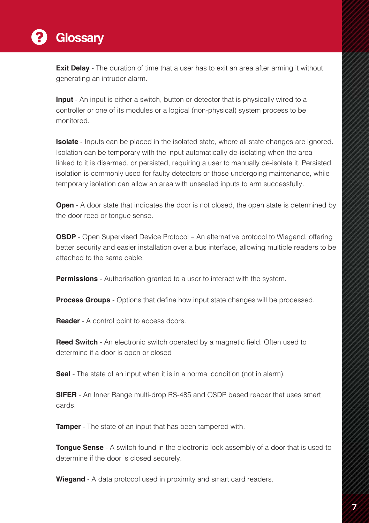

**Exit Delay** - The duration of time that a user has to exit an area after arming it without generating an intruder alarm.

**Input** - An input is either a switch, button or detector that is physically wired to a controller or one of its modules or a logical (non-physical) system process to be monitored.

**Isolate** - Inputs can be placed in the isolated state, where all state changes are ignored. Isolation can be temporary with the input automatically de-isolating when the area linked to it is disarmed, or persisted, requiring a user to manually de-isolate it. Persisted isolation is commonly used for faulty detectors or those undergoing maintenance, while temporary isolation can allow an area with unsealed inputs to arm successfully.

**Open** - A door state that indicates the door is not closed, the open state is determined by the door reed or tongue sense.

**OSDP** - Open Supervised Device Protocol – An alternative protocol to Wiegand, offering better security and easier installation over a bus interface, allowing multiple readers to be attached to the same cable.

**Permissions** - Authorisation granted to a user to interact with the system.

**Process Groups** - Options that define how input state changes will be processed.

**Reader** - A control point to access doors.

**Reed Switch** - An electronic switch operated by a magnetic field. Often used to determine if a door is open or closed

**Seal** - The state of an input when it is in a normal condition (not in alarm).

**SIFER** - An Inner Range multi-drop RS-485 and OSDP based reader that uses smart cards.

**Tamper** - The state of an input that has been tampered with.

**Tongue Sense** - A switch found in the electronic lock assembly of a door that is used to determine if the door is closed securely.

**Wiegand** - A data protocol used in proximity and smart card readers.